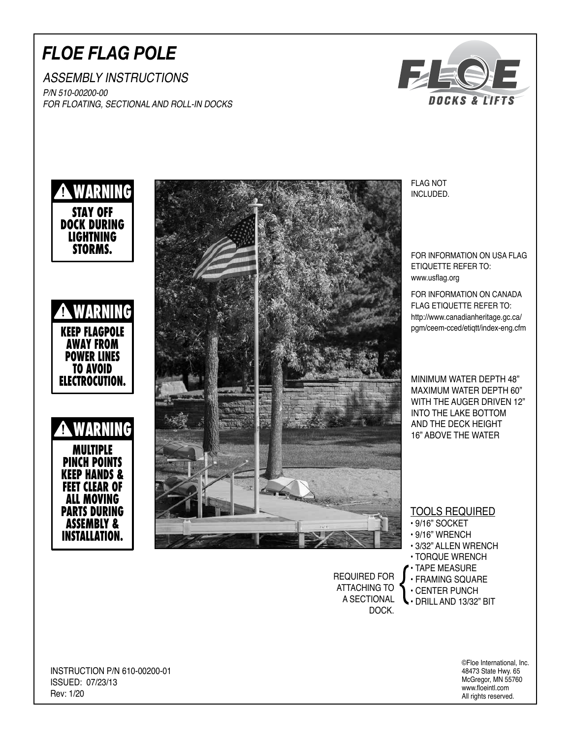## *FLOE FLAG POLE*

ASSEMBLY INSTRUCTIONS P/N 510-00200-00 FOR FLOATING, SECTIONAL AND ROLL-IN DOCKS





INCLUDED.

FOR INFORMATION ON USA FLAG ETIQUETTE REFER TO: www.usflag.org

FOR INFORMATION ON CANADA FLAG ETIQUETTE REFER TO: http://www.canadianheritage.gc.ca/ pgm/ceem-cced/etiqtt/index-eng.cfm

MINIMUM WATER DEPTH 48" MAXIMUM WATER DEPTH 60" WITH THE AUGER DRIVEN 12" INTO THE LAKE BOTTOM AND THE DECK HEIGHT 16" ABOVE THE WATER

TOOLS REQUIRED

- 9/16" SOCKET
- 9/16" WRENCH
- 3/32" ALLEN WRENCH
- TORQUE WRENCH
- TAPE MEASURE
- FRAMING SQUARE
- CENTER PUNCH

REQUIRED FOR ATTACHING TO A SECTIONAL DOCK.

• DRILL AND 13/32" BIT

©Floe International, Inc. 48473 State Hwy. 65 McGregor, MN 55760 www.floeintl.com All rights reserved.

INSTRUCTION P/N 610-00200-01 ISSUED: 07/23/13 Rev: 1/20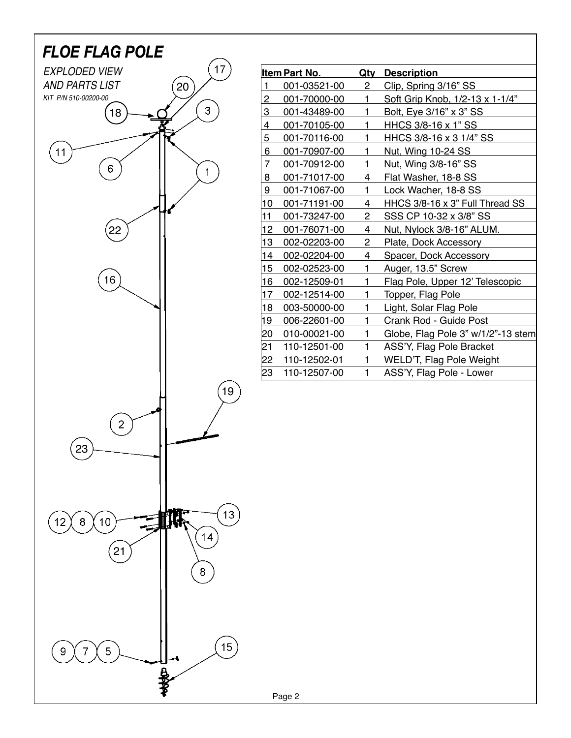

Page 2

| Item Part No.   |              | Qty          | <b>Description</b>                 |
|-----------------|--------------|--------------|------------------------------------|
| 1               | 001-03521-00 | 2            | Clip, Spring 3/16" SS              |
| $\overline{2}$  | 001-70000-00 | 1            | Soft Grip Knob, 1/2-13 x 1-1/4"    |
| 3               | 001-43489-00 | 1            | Bolt, Eye 3/16" x 3" SS            |
| 4               | 001-70105-00 | 1            | HHCS 3/8-16 x 1" SS                |
| 5               | 001-70116-00 | 1            | HHCS 3/8-16 x 3 1/4" SS            |
| 6               | 001-70907-00 | 1            | Nut, Wing 10-24 SS                 |
| $\overline{7}$  | 001-70912-00 | 1            | Nut, Wing 3/8-16" SS               |
| 8               | 001-71017-00 | 4            | Flat Washer, 18-8 SS               |
| 9               | 001-71067-00 | $\mathbf{1}$ | Lock Wacher, 18-8 SS               |
| 10              | 001-71191-00 | 4            | HHCS 3/8-16 x 3" Full Thread SS    |
| 11              | 001-73247-00 | $\mathbf{2}$ | SSS CP 10-32 x 3/8" SS             |
| 12 <sub>2</sub> | 001-76071-00 | 4            | Nut, Nylock 3/8-16" ALUM.          |
| 13              | 002-02203-00 | 2            | Plate, Dock Accessory              |
| 14              | 002-02204-00 | 4            | Spacer, Dock Accessory             |
| 15              | 002-02523-00 | 1            | Auger, 13.5" Screw                 |
| 16              | 002-12509-01 | 1            | Flag Pole, Upper 12' Telescopic    |
| 17              | 002-12514-00 | 1            | Topper, Flag Pole                  |
| 18              | 003-50000-00 | 1            | Light, Solar Flag Pole             |
| 19              | 006-22601-00 | 1            | Crank Rod - Guide Post             |
| 20              | 010-00021-00 | 1            | Globe, Flag Pole 3" w/1/2"-13 stem |
| 21              | 110-12501-00 | 1            | ASS'Y, Flag Pole Bracket           |
| 22              | 110-12502-01 | 1            | WELD'T, Flag Pole Weight           |
| 23              | 110-12507-00 | 1            | ASS'Y, Flag Pole - Lower           |
|                 |              |              |                                    |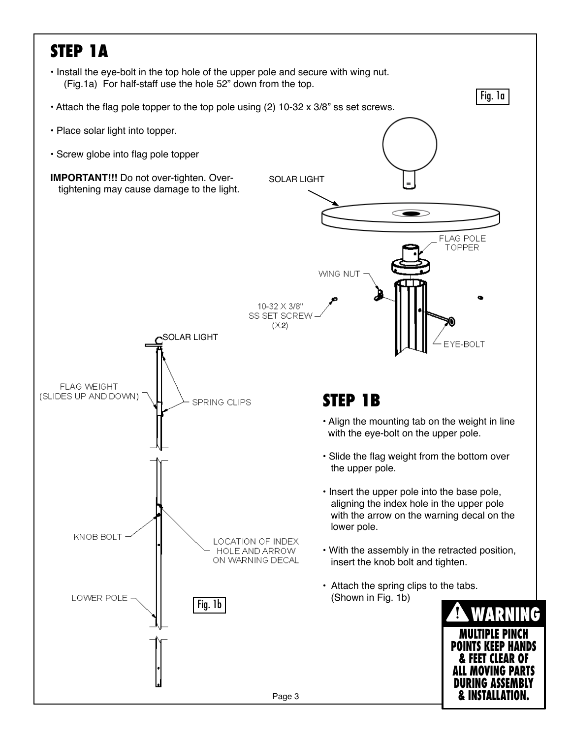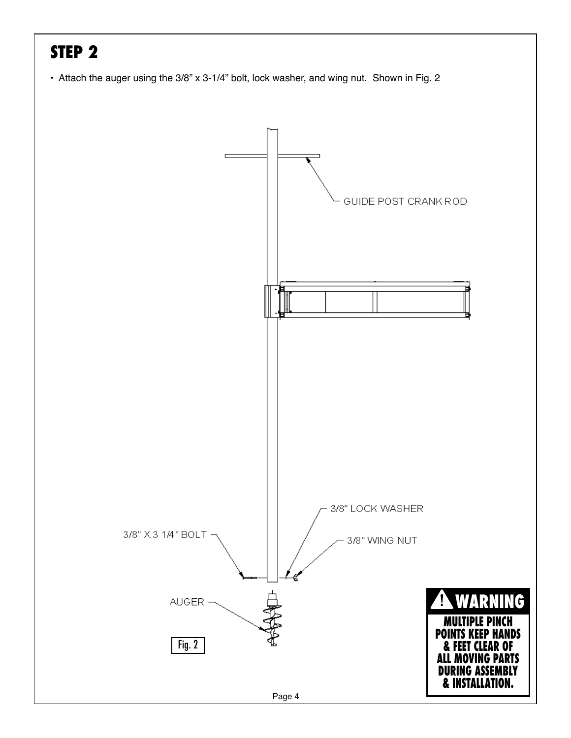# **STEP 2**

• Attach the auger using the 3/8" x 3-1/4" bolt, lock washer, and wing nut. Shown in Fig. 2

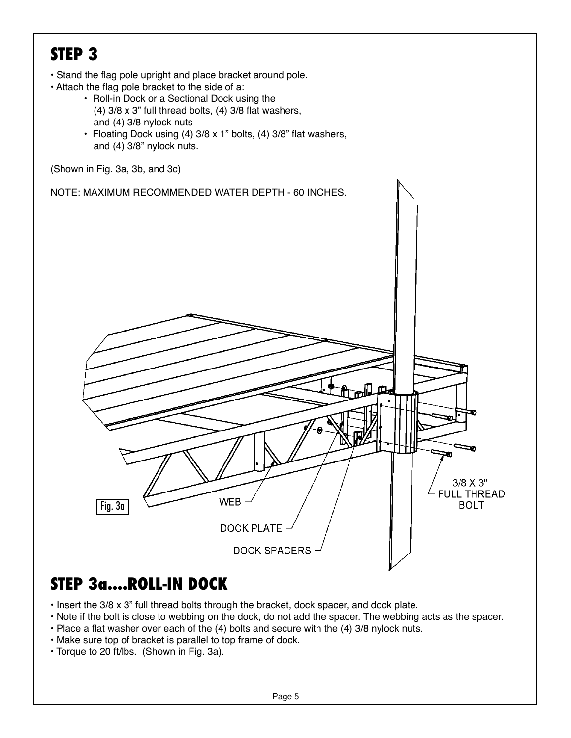### **STEP 3**

- Stand the flag pole upright and place bracket around pole.
- Attach the flag pole bracket to the side of a:
	- Roll-in Dock or a Sectional Dock using the (4) 3/8 x 3" full thread bolts, (4) 3/8 flat washers, and (4) 3/8 nylock nuts
	- Floating Dock using (4) 3/8 x 1" bolts, (4) 3/8" flat washers, and (4) 3/8" nylock nuts.



#### **STEP 3a....ROLL-IN DOCK**

- Insert the 3/8 x 3" full thread bolts through the bracket, dock spacer, and dock plate.
- Note if the bolt is close to webbing on the dock, do not add the spacer. The webbing acts as the spacer.
- Place a flat washer over each of the (4) bolts and secure with the (4) 3/8 nylock nuts.
- Make sure top of bracket is parallel to top frame of dock.
- Torque to 20 ft/lbs. (Shown in Fig. 3a).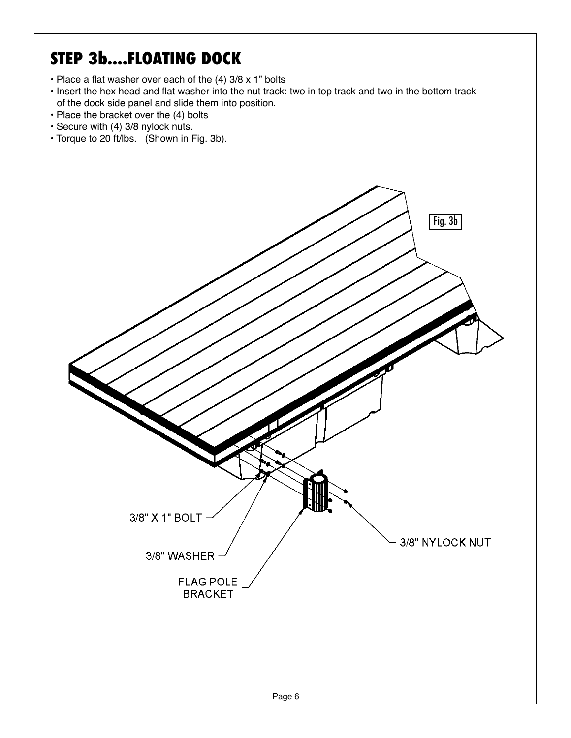## **STEP 3b....FLOATING DOCK**

- Place a flat washer over each of the (4) 3/8 x 1" bolts
- Insert the hex head and flat washer into the nut track: two in top track and two in the bottom track of the dock side panel and slide them into position.
- Place the bracket over the (4) bolts
- Secure with (4) 3/8 nylock nuts.
- Torque to 20 ft/lbs. (Shown in Fig. 3b).

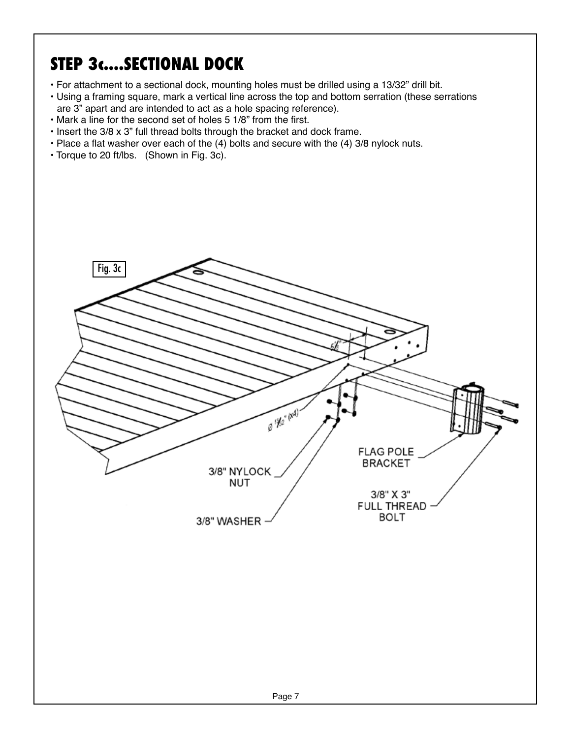# **STEP 3c....SECTIONAL DOCK**

- For attachment to a sectional dock, mounting holes must be drilled using a 13/32" drill bit.
- Using a framing square, mark a vertical line across the top and bottom serration (these serrations are 3" apart and are intended to act as a hole spacing reference).
- Mark a line for the second set of holes 5 1/8" from the first.
- Insert the 3/8 x 3" full thread bolts through the bracket and dock frame.
- Place a flat washer over each of the (4) bolts and secure with the (4) 3/8 nylock nuts.
- Torque to 20 ft/lbs. (Shown in Fig. 3c).